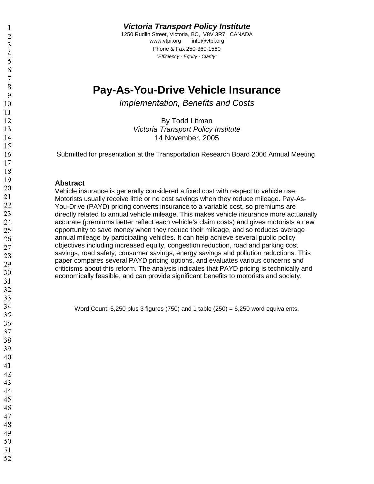**Victoria Transport Policy Institute**

1250 Rudlin Street, Victoria, BC, V8V 3R7, CANADA www.vtpi.org info@vtpi.org Phone & Fax 250-360-1560 "Efficiency - Equity - Clarity"

# **Pay-As-You-Drive Vehicle Insurance**

Implementation, Benefits and Costs

By Todd Litman Victoria Transport Policy Institute November, 2005

Submitted for presentation at the Transportation Research Board 2006 Annual Meeting.

#### **Abstract**

Vehicle insurance is generally considered a fixed cost with respect to vehicle use. Motorists usually receive little or no cost savings when they reduce mileage. Pay-As-You-Drive (PAYD) pricing converts insurance to a variable cost, so premiums are directly related to annual vehicle mileage. This makes vehicle insurance more actuarially accurate (premiums better reflect each vehicle's claim costs) and gives motorists a new opportunity to save money when they reduce their mileage, and so reduces average annual mileage by participating vehicles. It can help achieve several public policy objectives including increased equity, congestion reduction, road and parking cost savings, road safety, consumer savings, energy savings and pollution reductions. This paper compares several PAYD pricing options, and evaluates various concerns and criticisms about this reform. The analysis indicates that PAYD pricing is technically and economically feasible, and can provide significant benefits to motorists and society.

Word Count: 5,250 plus 3 figures (750) and 1 table (250) = 6,250 word equivalents.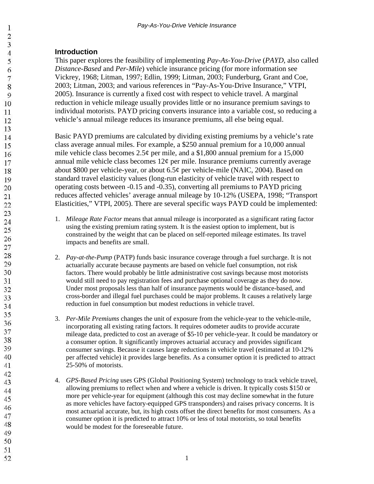# **Introduction**

This paper explores the feasibility of implementing *Pay-As-You-Drive* (*PAYD*, also called *Distance-Based* and *Per-Mile*) vehicle insurance pricing (for more information see Vickrey, 1968; Litman, 1997; Edlin, 1999; Litman, 2003; Funderburg, Grant and Coe, 2003; Litman, 2003; and various references in "Pay-As-You-Drive Insurance," VTPI, 2005). Insurance is currently a fixed cost with respect to vehicle travel. A marginal reduction in vehicle mileage usually provides little or no insurance premium savings to individual motorists. PAYD pricing converts insurance into a variable cost, so reducing a vehicle's annual mileage reduces its insurance premiums, all else being equal.

Basic PAYD premiums are calculated by dividing existing premiums by a vehicle's rate class average annual miles. For example, a \$250 annual premium for a 10,000 annual mile vehicle class becomes  $2.5¢$  per mile, and a \$1,800 annual premium for a 15,000 annual mile vehicle class becomes  $12\phi$  per mile. Insurance premiums currently average about \$800 per vehicle-year, or about 6.5¢ per vehicle-mile (NAIC, 2004). Based on standard travel elasticity values (long-run elasticity of vehicle travel with respect to operating costs between -0.15 and -0.35), converting all premiums to PAYD pricing reduces affected vehicles' average annual mileage by 10-12% (USEPA, 1998; "Transport Elasticities," VTPI, 2005). There are several specific ways PAYD could be implemented:

- 1. *Mileage Rate Factor* means that annual mileage is incorporated as a significant rating factor using the existing premium rating system. It is the easiest option to implement, but is constrained by the weight that can be placed on self-reported mileage estimates. Its travel impacts and benefits are small.
- 2. *Pay-at-the-Pump* (PATP) funds basic insurance coverage through a fuel surcharge. It is not actuarially accurate because payments are based on vehicle fuel consumption, not risk factors. There would probably be little administrative cost savings because most motorists would still need to pay registration fees and purchase optional coverage as they do now. Under most proposals less than half of insurance payments would be distance-based, and cross-border and illegal fuel purchases could be major problems. It causes a relatively large reduction in fuel consumption but modest reductions in vehicle travel.
- 3. *Per-Mile Premiums* changes the unit of exposure from the vehicle-year to the vehicle-mile, incorporating all existing rating factors. It requires odometer audits to provide accurate mileage data, predicted to cost an average of \$5-10 per vehicle-year. It could be mandatory or a consumer option. It significantly improves actuarial accuracy and provides significant consumer savings. Because it causes large reductions in vehicle travel (estimated at 10-12% per affected vehicle) it provides large benefits. As a consumer option it is predicted to attract 25-50% of motorists.
- 4. *GPS-Based Pricing* uses GPS (Global Positioning System) technology to track vehicle travel, allowing premiums to reflect when and where a vehicle is driven. It typically costs \$150 or more per vehicle-year for equipment (although this cost may decline somewhat in the future as more vehicles have factory-equipped GPS transponders) and raises privacy concerns. It is most actuarial accurate, but, its high costs offset the direct benefits for most consumers. As a consumer option it is predicted to attract 10% or less of total motorists, so total benefits would be modest for the foreseeable future.
- $\overline{4}$ 5 6  $\overline{7}$ 8 9 10 11 12 13 14 15 16 17 18 19 20 21 22 23 24 25 26 27 28 29 30 31 32 33 34 35 36 37 38 39 40 41 42 43 44 45 46 47 48 49 50 51

 $\mathbf{1}$  $\overline{2}$ 3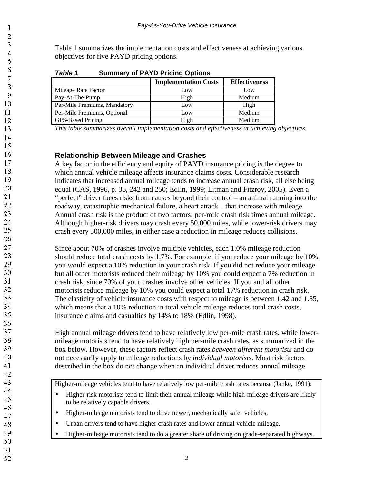Table 1 summarizes the implementation costs and effectiveness at achieving various objectives for five PAYD pricing options.

| <b>Summary of PAYD Pricing Options</b><br>Table 1 |  |
|---------------------------------------------------|--|
|---------------------------------------------------|--|

|                              | <b>Implementation Costs</b> | <b>Effectiveness</b> |
|------------------------------|-----------------------------|----------------------|
| Mileage Rate Factor          | Low                         | Low                  |
| Pay-At-The-Pump              | High                        | Medium               |
| Per-Mile Premiums, Mandatory | Low                         | High                 |
| Per-Mile Premiums, Optional  | Low                         | Medium               |
| <b>GPS-Based Pricing</b>     | High                        | Medium               |

*This table summarizes overall implementation costs and effectiveness at achieving objectives.*

### **Relationship Between Mileage and Crashes**

A key factor in the efficiency and equity of PAYD insurance pricing is the degree to which annual vehicle mileage affects insurance claims costs. Considerable research indicates that increased annual mileage tends to increase annual crash risk, all else being equal (CAS, 1996, p. 35, 242 and 250; Edlin, 1999; Litman and Fitzroy, 2005). Even a "perfect" driver faces risks from causes beyond their control – an animal running into the roadway, catastrophic mechanical failure, a heart attack – that increase with mileage. Annual crash risk is the product of two factors: per-mile crash risk times annual mileage. Although higher-risk drivers may crash every 50,000 miles, while lower-risk drivers may crash every 500,000 miles, in either case a reduction in mileage reduces collisions.

Since about 70% of crashes involve multiple vehicles, each 1.0% mileage reduction should reduce total crash costs by 1.7%. For example, if you reduce your mileage by 10% you would expect a 10% reduction in your crash risk. If you did not reduce your mileage but all other motorists reduced their mileage by 10% you could expect a 7% reduction in crash risk, since 70% of your crashes involve other vehicles. If you and all other motorists reduce mileage by 10% you could expect a total 17% reduction in crash risk. The elasticity of vehicle insurance costs with respect to mileage is between 1.42 and 1.85, which means that a 10% reduction in total vehicle mileage reduces total crash costs, insurance claims and casualties by 14% to 18% (Edlin, 1998).

High annual mileage drivers tend to have relatively low per-mile crash rates, while lowermileage motorists tend to have relatively high per-mile crash rates, as summarized in the box below. However, these factors reflect crash rates *between different motorists* and do not necessarily apply to mileage reductions by *individual motorists*. Most risk factors described in the box do not change when an individual driver reduces annual mileage.

Higher-mileage vehicles tend to have relatively low per-mile crash rates because (Janke, 1991):

- Higher-risk motorists tend to limit their annual mileage while high-mileage drivers are likely to be relatively capable drivers.
- Higher-mileage motorists tend to drive newer, mechanically safer vehicles.
- Urban drivers tend to have higher crash rates and lower annual vehicle mileage.
	- Higher-mileage motorists tend to do a greater share of driving on grade-separated highways.

 $\mathbf{1}$  $\overline{2}$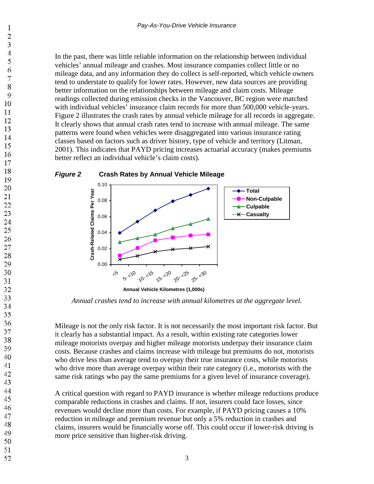In the past, there was little reliable information on the relationship between individual vehicles' annual mileage and crashes. Most insurance companies collect little or no mileage data, and any information they do collect is self-reported, which vehicle owners tend to understate to qualify for lower rates. However, new data sources are providing better information on the relationships between mileage and claim costs. Mileage readings collected during emission checks in the Vancouver, BC region were matched with individual vehicles' insurance claim records for more than 500,000 vehicle-years. Figure 2 illustrates the crash rates by annual vehicle mileage for all records in aggregate. It clearly shows that annual crash rates tend to increase with annual mileage. The same patterns were found when vehicles were disaggregated into various insurance rating classes based on factors such as driver history, type of vehicle and territory (Litman, 2001). This indicates that PAYD pricing increases actuarial accuracy (makes premiums better reflect an individual vehicle's claim costs).

#### **Figure 2 Crash Rates by Annual Vehicle Mileage** 0.10



*Annual crashes tend to increase with annual kilometres at the aggregate level.*

Mileage is not the only risk factor. It is not necessarily the most important risk factor. But it clearly has a substantial impact. As a result, within existing rate categories lower mileage motorists overpay and higher mileage motorists underpay their insurance claim costs. Because crashes and claims increase with mileage but premiums do not, motorists who drive less than average tend to overpay their true insurance costs, while motorists who drive more than average overpay within their rate category (i.e., motorists with the same risk ratings who pay the same premiums for a given level of insurance coverage).

A critical question with regard to PAYD insurance is whether mileage reductions produce comparable reductions in crashes and claims. If not, insurers could face losses, since revenues would decline more than costs. For example, if PAYD pricing causes a 10% reduction in mileage and premium revenue but only a 5% reduction in crashes and claims, insurers would be financially worse off. This could occur if lower-risk driving is more price sensitive than higher-risk driving.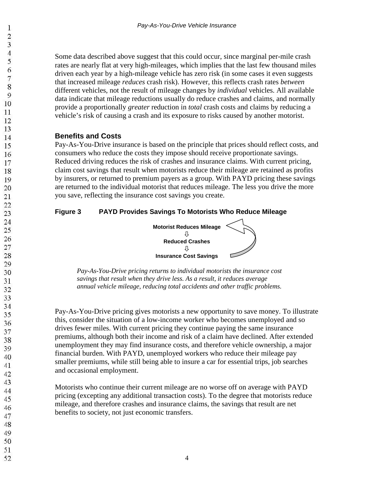Some data described above suggest that this could occur, since marginal per-mile crash rates are nearly flat at very high-mileages, which implies that the last few thousand miles driven each year by a high-mileage vehicle has zero risk (in some cases it even suggests that increased mileage *reduces* crash risk). However, this reflects crash rates *between* different vehicles, not the result of mileage changes by *individual* vehicles. All available data indicate that mileage reductions usually do reduce crashes and claims, and normally provide a proportionally *greater* reduction in *total* crash costs and claims by reducing a vehicle's risk of causing a crash and its exposure to risks caused by another motorist.

# **Benefits and Costs**

Pay-As-You-Drive insurance is based on the principle that prices should reflect costs, and consumers who reduce the costs they impose should receive proportionate savings. Reduced driving reduces the risk of crashes and insurance claims. With current pricing, claim cost savings that result when motorists reduce their mileage are retained as profits by insurers, or returned to premium payers as a group. With PAYD pricing these savings are returned to the individual motorist that reduces mileage. The less you drive the more you save, reflecting the insurance cost savings you create.

# **Figure 3 PAYD Provides Savings To Motorists Who Reduce Mileage**



*Pay-As-You-Drive pricing returns to individual motorists the insurance cost savings that result when they drive less. As a result, it reduces average annual vehicle mileage, reducing total accidents and other traffic problems.*

Pay-As-You-Drive pricing gives motorists a new opportunity to save money. To illustrate this, consider the situation of a low-income worker who becomes unemployed and so drives fewer miles. With current pricing they continue paying the same insurance premiums, although both their income and risk of a claim have declined. After extended unemployment they may find insurance costs, and therefore vehicle ownership, a major financial burden. With PAYD, unemployed workers who reduce their mileage pay smaller premiums, while still being able to insure a car for essential trips, job searches and occasional employment.

Motorists who continue their current mileage are no worse off on average with PAYD pricing (excepting any additional transaction costs). To the degree that motorists reduce mileage, and therefore crashes and insurance claims, the savings that result are net benefits to society, not just economic transfers.

- 48 49
- 50
- 51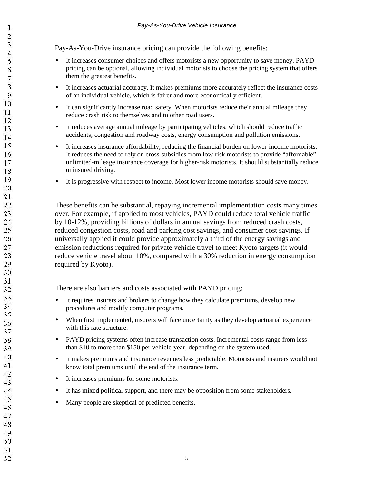Pay-As-You-Drive insurance pricing can provide the following benefits:

- It increases consumer choices and offers motorists a new opportunity to save money. PAYD pricing can be optional, allowing individual motorists to choose the pricing system that offers them the greatest benefits.
- It increases actuarial accuracy. It makes premiums more accurately reflect the insurance costs of an individual vehicle, which is fairer and more economically efficient.
- It can significantly increase road safety. When motorists reduce their annual mileage they reduce crash risk to themselves and to other road users.
- It reduces average annual mileage by participating vehicles, which should reduce traffic accidents, congestion and roadway costs, energy consumption and pollution emissions.
- It increases insurance affordability, reducing the financial burden on lower-income motorists. It reduces the need to rely on cross-subsidies from low-risk motorists to provide "affordable" unlimited-mileage insurance coverage for higher-risk motorists. It should substantially reduce uninsured driving.
- It is progressive with respect to income. Most lower income motorists should save money.

These benefits can be substantial, repaying incremental implementation costs many times over. For example, if applied to most vehicles, PAYD could reduce total vehicle traffic by 10-12%, providing billions of dollars in annual savings from reduced crash costs, reduced congestion costs, road and parking cost savings, and consumer cost savings. If universally applied it could provide approximately a third of the energy savings and emission reductions required for private vehicle travel to meet Kyoto targets (it would reduce vehicle travel about 10%, compared with a 30% reduction in energy consumption required by Kyoto).

There are also barriers and costs associated with PAYD pricing:

- It requires insurers and brokers to change how they calculate premiums, develop new procedures and modify computer programs.
- When first implemented, insurers will face uncertainty as they develop actuarial experience with this rate structure.
- PAYD pricing systems often increase transaction costs. Incremental costs range from less than \$10 to more than \$150 per vehicle-year, depending on the system used.
- It makes premiums and insurance revenues less predictable. Motorists and insurers would not know total premiums until the end of the insurance term.
- It increases premiums for some motorists.
- It has mixed political support, and there may be opposition from some stakeholders.
- Many people are skeptical of predicted benefits.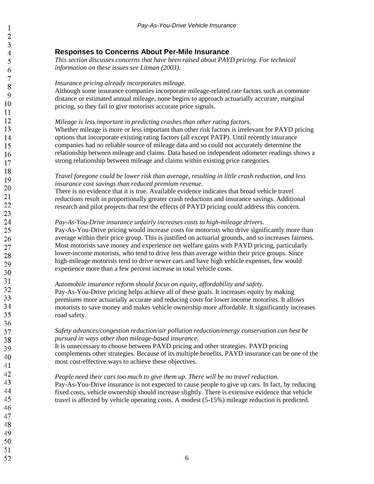### **Responses to Concerns About Per-Mile Insurance**

*This section discusses concerns that have been raised about PAYD pricing. For technical information on these issues see Litman (2003).*

#### *Insurance pricing already incorporates mileage.*

Although some insurance companies incorporate mileage-related rate factors such as commute distance or estimated annual mileage, none begins to approach actuarially accurate, marginal pricing, so they fail to give motorists accurate price signals.

#### *Mileage is less important in predicting crashes than other rating factors.*

Whether mileage is more or less important than other risk factors is irrelevant for PAYD pricing options that incorporate existing rating factors (all except PATP). Until recently insurance companies had no reliable source of mileage data and so could not accurately determine the relationship between mileage and claims. Data based on independent odometer readings shows a strong relationship between mileage and claims within existing price categories.

#### *Travel foregone could be lower risk than average, resulting in little crash reduction, and less insurance cost savings than reduced premium revenue.*

There is no evidence that it is true. Available evidence indicates that broad vehicle travel reductions result in proportionally greater crash reductions and insurance savings. Additional research and pilot projects that test the effects of PAYD pricing could address this concern.

#### *Pay-As-You-Drive insurance unfairly increases costs to high-mileage drivers.*

Pay-As-You-Drive pricing would increase costs for motorists who drive significantly more than average within their price group. This is justified on actuarial grounds, and so increases fairness. Most motorists save money and experience net welfare gains with PAYD pricing, particularly lower-income motorists, who tend to drive less than average within their price groups. Since high-mileage motorists tend to drive newer cars and have high vehicle expenses, few would experience more than a few percent increase in total vehicle costs.

#### *Automobile insurance reform should focus on equity, affordability and safety.*

Pay-As-You-Drive pricing helps achieve all of these goals. It increases equity by making premiums more actuarially accurate and reducing costs for lower income motorists. It allows motorists to save money and makes vehicle ownership more affordable. It significantly increases road safety.

#### *Safety advances/congestion reduction/air pollution reduction/energy conservation can best be pursued in ways other than mileage-based insurance.*

It is unnecessary to choose between PAYD pricing and other strategies. PAYD pricing complements other strategies. Because of its multiple benefits, PAYD insurance can be one of the most cost-effective ways to achieve these objectives.

#### *People need their cars too much to give them up. There will be no travel reduction.*

Pay-As-You-Drive insurance is not expected to cause people to give up cars. In fact, by reducing fixed costs, vehicle ownership should increase slightly. There is extensive evidence that vehicle travel is affected by vehicle operating costs. A modest (5-15%) mileage reduction is predicted.

51 52

 $\mathbf{1}$  $\overline{2}$ 3  $\overline{4}$ 5 6  $\overline{7}$ 8 9 10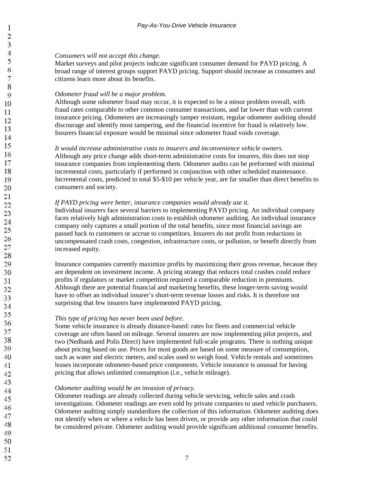### $\mathbf{1}$  $\overline{2}$ 3 4 5 6  $\overline{7}$ 8 9 10 11 12 13 14 15 16 17 18 19 20  $21$ 22 23 24 25 26 27 28 29 30 31 32 33 34 35 36 37 38 39 40 41 42 43 44 45 46

#### *Consumers will not accept this change.*

Market surveys and pilot projects indicate significant consumer demand for PAYD pricing. A broad range of interest groups support PAYD pricing. Support should increase as consumers and citizens learn more about its benefits.

#### *Odometer fraud will be a major problem.*

Although some odometer fraud may occur, it is expected to be a minor problem overall, with fraud rates comparable to other common consumer transactions, and far lower than with current insurance pricing. Odometers are increasingly tamper resistant, regular odometer auditing should discourage and identify most tampering, and the financial incentive for fraud is relatively low. Insurers financial exposure would be minimal since odometer fraud voids coverage.

#### *It would increase administrative costs to insurers and inconvenience vehicle owners.*

Although any price change adds short-term administrative costs for insurers, this does not stop insurance companies from implementing them. Odometer audits can be preformed with minimal incremental costs, particularly if performed in conjunction with other scheduled maintenance. Incremental costs, predicted to total \$5-\$10 per vehicle year, are far smaller than direct benefits to consumers and society.

#### *If PAYD pricing were better, insurance companies would already use it.*

Individual insurers face several barriers to implementing PAYD pricing. An individual company faces relatively high administration costs to establish odometer auditing. An individual insurance company only captures a small portion of the total benefits, since most financial savings are passed back to customers or accrue to competitors. Insurers do not profit from reductions in uncompensated crash costs, congestion, infrastructure costs, or pollution, or benefit directly from increased equity.

Insurance companies currently maximize profits by maximizing their gross revenue, because they are dependent on investment income. A pricing strategy that reduces total crashes could reduce profits if regulators or market competition required a comparable reduction in premiums. Although there are potential financial and marketing benefits, these longer-term saving would have to offset an individual insurer's short-term revenue losses and risks. It is therefore not surprising that few insurers have implemented PAYD pricing.

#### *This type of pricing has never been used before.*

Some vehicle insurance is already distance-based: rates for fleets and commercial vehicle coverage are often based on mileage. Several insurers are now implementing pilot projects, and two (Nedbank and Polis Direct) have implemented full-scale programs. There is nothing unique about pricing based on use. Prices for most goods are based on some measure of consumption, such as water and electric meters, and scales used to weigh food. Vehicle rentals and sometimes leases incorporate odometer-based price components. Vehicle insurance is unusual for having pricing that allows unlimited consumption (i.e., vehicle mileage).

#### *Odometer auditing would be an invasion of privacy.*

Odometer readings are already collected during vehicle servicing, vehicle sales and crash investigations. Odometer readings are even sold by private companies to used vehicle purchasers. Odometer auditing simply standardizes the collection of this information. Odometer auditing does not identify when or where a vehicle has been driven, or provide any other information that could be considered private. Odometer auditing would provide significant additional consumer benefits.

49 50

47 48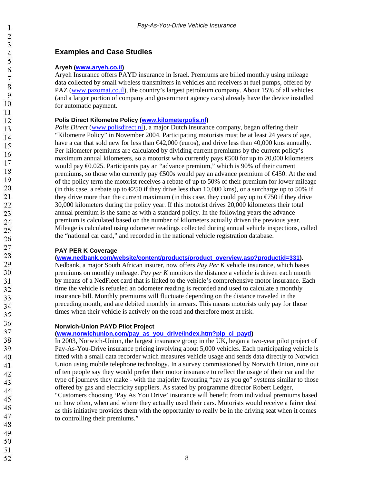# **Examples and Case Studies**

#### **Aryeh (www.aryeh.co.il)**

Aryeh Insurance offers PAYD insurance in Israel. Premiums are billed monthly using mileage data collected by small wireless transmitters in vehicles and receivers at fuel pumps, offered by PAZ (www.pazomat.co.il), the country's largest petroleum company. About 15% of all vehicles (and a larger portion of company and government agency cars) already have the device installed for automatic payment.

#### **Polis Direct Kilometre Policy (www.kilometerpolis.nl)**

*Polis Direct* (www.polisdirect.nl), a major Dutch insurance company, began offering their "Kilometre Policy" in November 2004. Participating motorists must be at least 24 years of age, have a car that sold new for less than  $\epsilon$ 42,000 (euros), and drive less than 40,000 kms annually. Per-kilometer premiums are calculated by dividing current premiums by the current policy's maximum annual kilometers, so a motorist who currently pays  $\epsilon$ 500 for up to 20,000 kilometers would pay  $\epsilon$ 0.025. Participants pay an "advance premium," which is 90% of their current premiums, so those who currently pay  $\epsilon$ 500s would pay an advance premium of  $\epsilon$ 450. At the end of the policy term the motorist receives a rebate of up to 50% of their premium for lower mileage (in this case, a rebate up to  $\epsilon$ 250 if they drive less than 10,000 kms), or a surcharge up to 50% if they drive more than the current maximum (in this case, they could pay up to  $\epsilon$  750 if they drive 30,000 kilometers during the policy year. If this motorist drives 20,000 kilometers their total annual premium is the same as with a standard policy. In the following years the advance premium is calculated based on the number of kilometers actually driven the previous year. Mileage is calculated using odometer readings collected during annual vehicle inspections, called the "national car card," and recorded in the national vehicle registration database.

#### **PAY PER K Coverage**

**(www.nedbank.com/website/content/products/product\_overview.asp?productid=331).** 

Nedbank, a major South African insurer, now offers *Pay Per K* vehicle insurance, which bases premiums on monthly mileage. *Pay per K* monitors the distance a vehicle is driven each month by means of a NedFleet card that is linked to the vehicle's comprehensive motor insurance. Each time the vehicle is refueled an odometer reading is recorded and used to calculate a monthly insurance bill. Monthly premiums will fluctuate depending on the distance traveled in the preceding month, and are debited monthly in arrears. This means motorists only pay for those times when their vehicle is actively on the road and therefore most at risk.

#### **Norwich-Union PAYD Pilot Project**

#### **(www.norwichunion.com/pay\_as\_you\_drive/index.htm?plp\_ci\_payd)**

In 2003, Norwich-Union, the largest insurance group in the UK, began a two-year pilot project of Pay-As-You-Drive insurance pricing involving about 5,000 vehicles. Each participating vehicle is fitted with a small data recorder which measures vehicle usage and sends data directly to Norwich Union using mobile telephone technology. In a survey commissioned by Norwich Union, nine out of ten people say they would prefer their motor insurance to reflect the usage of their car and the type of journeys they make - with the majority favouring "pay as you go" systems similar to those offered by gas and electricity suppliers. As stated by programme director Robert Ledger,

"Customers choosing 'Pay As You Drive' insurance will benefit from individual premiums based on how often, when and where they actually used their cars. Motorists would receive a fairer deal as this initiative provides them with the opportunity to really be in the driving seat when it comes to controlling their premiums."

48 49

- 50
- 51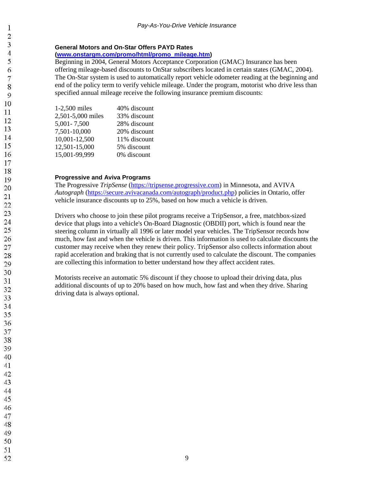#### **General Motors and On-Star Offers PAYD Rates**

**(www.onstargm.com/promo/html/promo\_mileage.htm)**

Beginning in 2004, General Motors Acceptance Corporation (GMAC) Insurance has been offering mileage-based discounts to OnStar subscribers located in certain states (GMAC, 2004). The On-Star system is used to automatically report vehicle odometer reading at the beginning and end of the policy term to verify vehicle mileage. Under the program, motorist who drive less than specified annual mileage receive the following insurance premium discounts:

| 1-2,500 miles     | 40% discount |
|-------------------|--------------|
| 2,501-5,000 miles | 33% discount |
| 5,001 - 7,500     | 28% discount |
| 7,501-10,000      | 20% discount |
| 10,001-12,500     | 11% discount |
| 12,501-15,000     | 5% discount  |
| 15,001-99,999     | 0% discount  |

#### **Progressive and Aviva Programs**

The Progressive *TripSense* (https://tripsense.progressive.com) in Minnesota, and AVIVA *Autograph* (https://secure.avivacanada.com/autograph/product.php) policies in Ontario, offer vehicle insurance discounts up to 25%, based on how much a vehicle is driven.

Drivers who choose to join these pilot programs receive a TripSensor, a free, matchbox-sized device that plugs into a vehicle's On-Board Diagnostic (OBDII) port, which is found near the steering column in virtually all 1996 or later model year vehicles. The TripSensor records how much, how fast and when the vehicle is driven. This information is used to calculate discounts the customer may receive when they renew their policy. TripSensor also collects information about rapid acceleration and braking that is not currently used to calculate the discount. The companies are collecting this information to better understand how they affect accident rates.

Motorists receive an automatic 5% discount if they choose to upload their driving data, plus additional discounts of up to 20% based on how much, how fast and when they drive. Sharing driving data is always optional.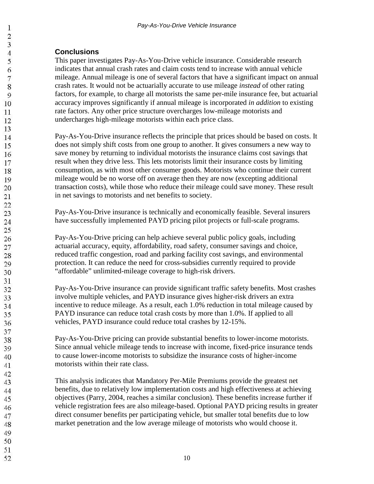# **Conclusions**

This paper investigates Pay-As-You-Drive vehicle insurance. Considerable research indicates that annual crash rates and claim costs tend to increase with annual vehicle mileage. Annual mileage is one of several factors that have a significant impact on annual crash rates. It would not be actuarially accurate to use mileage *instead* of other rating factors, for example, to charge all motorists the same per-mile insurance fee, but actuarial accuracy improves significantly if annual mileage is incorporated *in addition* to existing rate factors. Any other price structure overcharges low-mileage motorists and undercharges high-mileage motorists within each price class.

Pay-As-You-Drive insurance reflects the principle that prices should be based on costs. It does not simply shift costs from one group to another. It gives consumers a new way to save money by returning to individual motorists the insurance claims cost savings that result when they drive less. This lets motorists limit their insurance costs by limiting consumption, as with most other consumer goods. Motorists who continue their current mileage would be no worse off on average then they are now (excepting additional transaction costs), while those who reduce their mileage could save money. These result in net savings to motorists and net benefits to society.

Pay-As-You-Drive insurance is technically and economically feasible. Several insurers have successfully implemented PAYD pricing pilot projects or full-scale programs.

Pay-As-You-Drive pricing can help achieve several public policy goals, including actuarial accuracy, equity, affordability, road safety, consumer savings and choice, reduced traffic congestion, road and parking facility cost savings, and environmental protection. It can reduce the need for cross-subsidies currently required to provide "affordable" unlimited-mileage coverage to high-risk drivers.

Pay-As-You-Drive insurance can provide significant traffic safety benefits. Most crashes involve multiple vehicles, and PAYD insurance gives higher-risk drivers an extra incentive to reduce mileage. As a result, each 1.0% reduction in total mileage caused by PAYD insurance can reduce total crash costs by more than 1.0%. If applied to all vehicles, PAYD insurance could reduce total crashes by 12-15%.

Pay-As-You-Drive pricing can provide substantial benefits to lower-income motorists. Since annual vehicle mileage tends to increase with income, fixed-price insurance tends to cause lower-income motorists to subsidize the insurance costs of higher-income motorists within their rate class.

This analysis indicates that Mandatory Per-Mile Premiums provide the greatest net benefits, due to relatively low implementation costs and high effectiveness at achieving objectives (Parry, 2004, reaches a similar conclusion). These benefits increase further if vehicle registration fees are also mileage-based. Optional PAYD pricing results in greater direct consumer benefits per participating vehicle, but smaller total benefits due to low market penetration and the low average mileage of motorists who would choose it.

- 48 49
- 50
- 51 52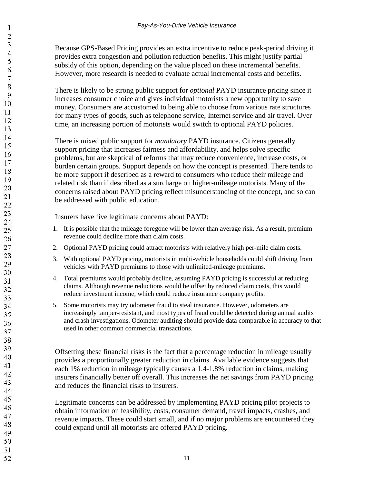Because GPS-Based Pricing provides an extra incentive to reduce peak-period driving it provides extra congestion and pollution reduction benefits. This might justify partial subsidy of this option, depending on the value placed on these incremental benefits. However, more research is needed to evaluate actual incremental costs and benefits.

There is likely to be strong public support for *optional* PAYD insurance pricing since it increases consumer choice and gives individual motorists a new opportunity to save money. Consumers are accustomed to being able to choose from various rate structures for many types of goods, such as telephone service, Internet service and air travel. Over time, an increasing portion of motorists would switch to optional PAYD policies.

There is mixed public support for *mandatory* PAYD insurance. Citizens generally support pricing that increases fairness and affordability, and helps solve specific problems, but are skeptical of reforms that may reduce convenience, increase costs, or burden certain groups. Support depends on how the concept is presented. There tends to be more support if described as a reward to consumers who reduce their mileage and related risk than if described as a surcharge on higher-mileage motorists. Many of the concerns raised about PAYD pricing reflect misunderstanding of the concept, and so can be addressed with public education.

Insurers have five legitimate concerns about PAYD:

- 1. It is possible that the mileage foregone will be lower than average risk. As a result, premium revenue could decline more than claim costs.
- 2. Optional PAYD pricing could attract motorists with relatively high per-mile claim costs.
- 3. With optional PAYD pricing, motorists in multi-vehicle households could shift driving from vehicles with PAYD premiums to those with unlimited-mileage premiums.
- 4. Total premiums would probably decline, assuming PAYD pricing is successful at reducing claims. Although revenue reductions would be offset by reduced claim costs, this would reduce investment income, which could reduce insurance company profits.
- 5. Some motorists may try odometer fraud to steal insurance. However, odometers are increasingly tamper-resistant, and most types of fraud could be detected during annual audits and crash investigations. Odometer auditing should provide data comparable in accuracy to that used in other common commercial transactions.

Offsetting these financial risks is the fact that a percentage reduction in mileage usually provides a proportionally greater reduction in claims. Available evidence suggests that each 1% reduction in mileage typically causes a 1.4-1.8% reduction in claims, making insurers financially better off overall. This increases the net savings from PAYD pricing and reduces the financial risks to insurers.

Legitimate concerns can be addressed by implementing PAYD pricing pilot projects to obtain information on feasibility, costs, consumer demand, travel impacts, crashes, and revenue impacts. These could start small, and if no major problems are encountered they could expand until all motorists are offered PAYD pricing.

48 49 50